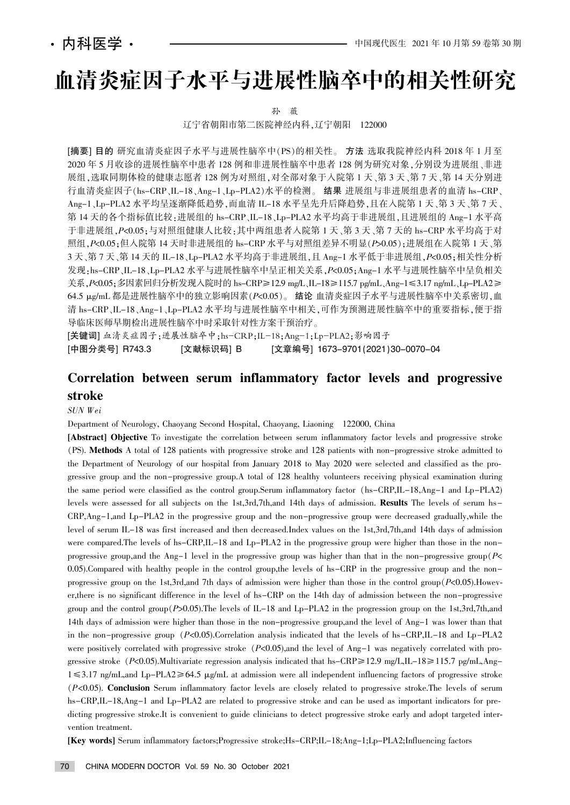# 血清炎症因子水平与进展性脑卒中的相关性研究

孙 薇

辽宁省朝阳市第二医院神经内科,辽宁朝阳 122000

[摘要] 目的 研究血清炎症因子水平与进展性脑卒中(PS)的相关性。 方法 选取我院神经内科 2018 年 1 月至 2020年5月收诊的进展性脑卒中患者 128 例和非进展性脑卒中患者 128 例为研究对象, 分别设为进展组、非进 展组, 选取同期体检的健康志愿者 128 例为对照组, 对全部对象于入院第 1天、第 3 天、第 7 天、第 14 天分别进 行血清炎症因子(hs-CRP、IL-18、Ang-1、Lp-PLA2)水平的检测。 结果 进展组与非进展组患者的血清 hs-CRP、 Ang-1、Lp-PLA2 水平均呈逐渐降低趋势,而血清 IL-18 水平呈先升后降趋势,且在入院第 1 天、第 3 天、第 7 天、 第 14 天的各个指标值比较:进展组的 hs-CRP、IL-18、Lp-PLA2 水平均高于非进展组,且进展组的 Ang-1 水平高 于非进展组, P<0.05:与对照组健康人比较:其中两组患者入院第 1 天、第 3 天、第 7 天的 hs-CRP 水平均高于对 照组, P<0.05;但入院第 14 天时非进展组的 hs-CRP 水平与对照组差异不明显(P>0.05);进展组在入院第 1 天、第 3 天、第 7 天、第 14 天的 IL-18、Lp-PLA2 水平均高于非进展组, 且 Ang-1 水平低于非进展组, P<0.05;相关性分析 发现:hs-CRP、IL-18、Lp-PLA2 水平与进展性脑卒中呈正相关关系, P<0.05; Ang-1 水平与进展性脑卒中呈负相关 关系,P<0.05;多因素回归分析发现入院时的 hs-CRP≥12.9 mg/L、IL-18≥115.7 pg/mL、Ang-1≤3.17 ng/mL、Lp-PLA2≥ 64.5  $\mu$ g/mL 都是进展性脑卒中的独立影响因素(P<0.05)。 结论 血清炎症因子水平与进展性脑卒中关系密切,血 清 hs-CRP、IL-18、Ang-1、Lp-PLA2 水平均与进展性脑卒中相关,可作为预测进展性脑卒中的重要指标,便于指 导临床医师早期检出进展性脑卒中时采取针对性方案干预治疗。

[关键词] 血清炎症因子;进展性脑卒中;hs-CRP;IL-18;Ang-1;Lp-PLA2;影响因子 [中图分类号] R743.3 [文献标识码] B [文章编号] 1673-9701(2021)30-0070-04

# Correlation between serum inflammatory factor levels and progressive stroke

#### SUN Wei

Department of Neurology, Chaoyang Second Hospital, Chaoyang, Liaoning 122000, China

[Abstract] Objective To investigate the correlation between serum inflammatory factor levels and progressive stroke 渊PS). Methods A total of 128 patients with progressive stroke and 128 patients with non-progressive stroke admitted to the Department of Neurology of our hospital from January 2018 to May 2020 were selected and classified as the progressive group and the non-progressive group.A total of 128 healthy volunteers receiving physical examination during the same period were classified as the control group.Serum inflammatory factor (hs-CRP,IL-18,Ang-1 and Lp-PLA2) levels were assessed for all subjects on the 1st,3rd,7th,and 14th days of admission. Results The levels of serum hs-CRP,Ang-1,and Lp-PLA2 in the progressive group and the non-progressive group were decreased gradually,while the level of serum IL-18 was first increased and then decreased.Index values on the 1st,3rd,7th,and 14th days of admission were compared.The levels of hs-CRP,IL-18 and Lp-PLA2 in the progressive group were higher than those in the nonprogressive group, and the Ang-1 level in the progressive group was higher than that in the non-progressive group  $P<$ 0.05).Compared with healthy people in the control group,the levels of hs-CRP in the progressive group and the nonprogressive group on the 1st,3rd,and 7th days of admission were higher than those in the control group  $(P<0.05)$ . However,there is no significant difference in the level of hs-CRP on the 14th day of admission between the non-progressive group and the control group  $(P>0.05)$ . The levels of IL-18 and Lp-PLA2 in the progression group on the 1st,3rd,7th,and 14th days of admission were higher than those in the non-progressive group,and the level of Ang-1 was lower than that in the non-progressive group  $(P<0.05)$ . Correlation analysis indicated that the levels of hs-CRP,IL-18 and Lp-PLA2 were positively correlated with progressive stroke  $(P<0.05)$ , and the level of Ang-1 was negatively correlated with progressive stroke  $(P<0.05)$ .Multivariate regression analysis indicated that hs-CRP $\geq 12.9$  mg/L,IL-18 $\geq 115.7$  pg/mL,Ang- $1 \leq 3.17$  ng/mL,and Lp-PLA2 $\geq 64.5$   $\mu$ g/mL at admission were all independent influencing factors of progressive stroke (P<0.05). Conclusion Serum inflammatory factor levels are closely related to progressive stroke.The levels of serum hs-CRP,IL-18,Ang-1 and Lp-PLA2 are related to progressive stroke and can be used as important indicators for predicting progressive stroke.It is convenient to guide clinicians to detect progressive stroke early and adopt targeted intervention treatment.

[Key words] Serum inflammatory factors;Progressive stroke;Hs-CRP;IL-18;Ang-1;Lp-PLA2;Influencing factors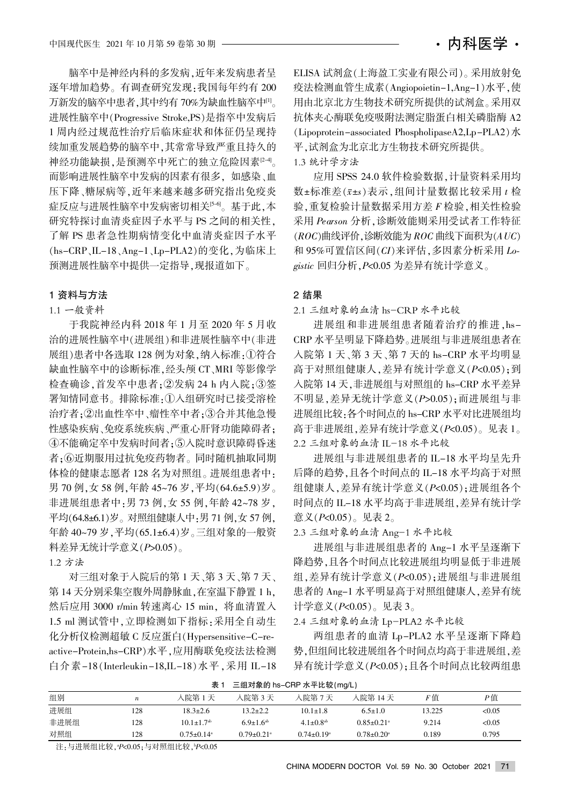脑卒中是神经内科的多发病,近年来发病患者呈 逐年增加趋势。有调查研究发现:我国每年约有 200 万新发的脑卒中患者,其中约有 70%为缺血性脑卒中[1]。 进展性脑卒中(Progressive Stroke,PS)是指卒中发病后 1 周内经过规范性治疗后临床症状和体征仍呈现持 续加重发展趋势的脑卒中,其常常导致严重且持久的 神经功能缺损,是预测卒中死亡的独立危险因素<sup>[2-4]</sup>。 而影响进展性脑卒中发病的因素有很多。如感染、血 压下降、糖尿病等,近年来越来越多研究指出免疫炎 症反应与进展性脑卒中发病密切相关<sup>[5-6]</sup>。基于此,本 研究特探讨血清炎症因子水平与 PS 之间的相关性, 了解 PS 患者急性期病情变化中血清炎症因子水平 (hs-CRP、IL-18、Ang-1、Lp-PLA2)的变化,为临床上 预测进展性脑卒中提供一定指导,现报道如下。

## 1 资料与方法

# 1.1 一般资料

于我院神经内科 2018 年 1 月至 2020 年 5 月收 治的进展性脑卒中(进展组)和非进展性脑卒中(非进 展组)患者中各选取 128 例为对象, 纳入标准:①符合 缺血性脑卒中的诊断标准,经头颅 CT、MRI 等影像学 检查确诊,首发卒中患者:2发病 24 h 内入院:3答 署知情同意书。排除标准:①入组研究时已接受溶栓 治疗者:2出血性卒中、瘤性卒中者:3合并其他急慢 性感染疾病、免疫系统疾病、严重心肝肾功能障碍者: 4不能确定卒中发病时间者:5入院时意识障碍昏迷 者:6近期服用过抗免疫药物者。同时随机抽取同期 体检的健康志愿者 128 名为对照组。进展组患者中: 男 70 例, 女 58 例, 年龄 45~76 岁, 平均(64.6±5.9)岁。 非进展组患者中:男 73 例,女 55 例,年龄 42~78 岁, 平均(64.8±6.1)岁。对照组健康人中:男 71 例,女 57 例, 年龄 40~79岁, 平均(65.1±6.4)岁。三组对象的一般资 料差异无统计学意义 $(P>0.05)$ 。

1.2 方法

对三组对象于入院后的第1天、第3天、第7天、 第 14 天分别采集空腹外周静脉血, 在室温下静置 1 h. 然后应用 3000 r/min 转速离心 15 min, 将血清置入 1.5 ml 测试管中,立即检测如下指标:采用全自动生 化分析仪检测超敏 C 反应蛋白(Hypersensitive-C-reactive-Protein,hs-CRP)水平,应用酶联免疫法法检测 白介素-18(Interleukin-18,IL-18)水平,采用 IL-18 ELISA 试剂盒(上海盈工实业有限公司)。采用放射免 疫法检测血管生成素(Angiopoietin-1,Ang-1)水平,使 用由北京北方生物技术研究所提供的试剂盒。采用双 抗体夹心酶联免疫吸附法测定脂蛋白相关磷脂酶 A2 (Lipoprotein-associated PhospholipaseA2,Lp-PLA2) $\mathcal K$ 平,试剂盒为北京北方生物技术研究所提供。 1.3 统计学方法

应用 SPSS 24.0 软件检验数据, 计量资料采用均 数±标准差(x±s)表示,组间计量数据比较采用 t 检 验. 重复检验计量数据采用方差 F 检验, 相关性检验 采用 Pearson 分析, 诊断效能则采用受试者工作特征  $(ROC)$ 曲线评价,诊断效能为  $ROC$ 曲线下面积为 $(AUC)$ 和 95%可置信区间 $(CI)$ 来评估,多因素分析采用 Logistic 回归分析, P<0.05 为差异有统计学意义。

#### 2 结果

2.1 三组对象的血清 hs-CRP 水平比较

进展组和非进展组患者随着治疗的推进.hs-CRP 水平呈明显下降趋势。进展组与非进展组患者在 入院第 1 天、第 3 天、第 7 天的 hs-CRP 水平均明显 高于对照组健康人,差异有统计学意义(P<0.05);到 入院第 14 天, 非进展组与对照组的 hs-CRP 水平差异 不明显, 差异无统计学意义 (P>0.05): 而进展组与非 进展组比较:各个时间点的 hs-CRP 水平对比进展组均 高于非进展组, 差异有统计学意义 (P<0.05)。见表 1。 2.2 三组对象的血清 IL-18 水平比较

进展组与非进展组患者的 IL-18 水平均呈先升 后降的趋势,且各个时间点的 IL-18 水平均高于对照 组健康人. 差异有统计学意义(P<0.05): 进展组各个 时间点的 IL-18 水平均高于非进展组, 差异有统计学 意义 $(P< 0.05)$ 。见表 2。

2.3 三组对象的血清 Ang-1 水平比较

进展组与非进展组患者的 Ang-1 水平呈逐渐下 降趋势,且各个时间点比较进展组均明显低于非进展 组, 差异有统计学意义 (P<0.05); 进展组与非进展组 患者的 Ang-1 水平明显高于对照组健康人, 差异有统 计学意义 $(P< 0.05)$ 。见表 3。

### 2.4 三组对象的血清 Lp-PLA2 水平比较

两组患者的血清 Lp-PLA2 水平呈逐渐下降趋 势,但组间比较进展组各个时间点均高于非进展组,差 异有统计学意义(P<0.05);且各个时间点比较两组患

| 组别   | $\boldsymbol{n}$ | √院第1天                        | 乀院第 3 天                      | √院第7天                        | \院第 14 天                     | F值     | P值     |
|------|------------------|------------------------------|------------------------------|------------------------------|------------------------------|--------|--------|
| 进展组  | 128              | 18.3±2.6                     | 13.2+2.2                     | $10.1 \pm 1.8$               | $6.5 \pm 1.0$                | 13.225 | < 0.05 |
| 非进展组 | 128              | $10.1 \pm 1.7$ <sup>ab</sup> | $6.9 \pm 1.6$ <sup>ah</sup>  | $4.1 \pm 0.8^{ab}$           | $0.85 \pm 0.21$ <sup>a</sup> | 9.214  | < 0.05 |
| 对照组  | 128              | $0.75 \pm 0.14$ <sup>a</sup> | $0.79 \pm 0.21$ <sup>a</sup> | $0.74 \pm 0.19$ <sup>a</sup> | $0.78 \pm 0.20^a$            | 0.189  | 0.795  |

表 1 三组对象的 hs-CRP 水平比较 $(mg/L)$ 

注<sub>:</sub>与进展组比较<sub>,"</sub>P<0.05;与对照组比较<sub>,</sub>"P<0.05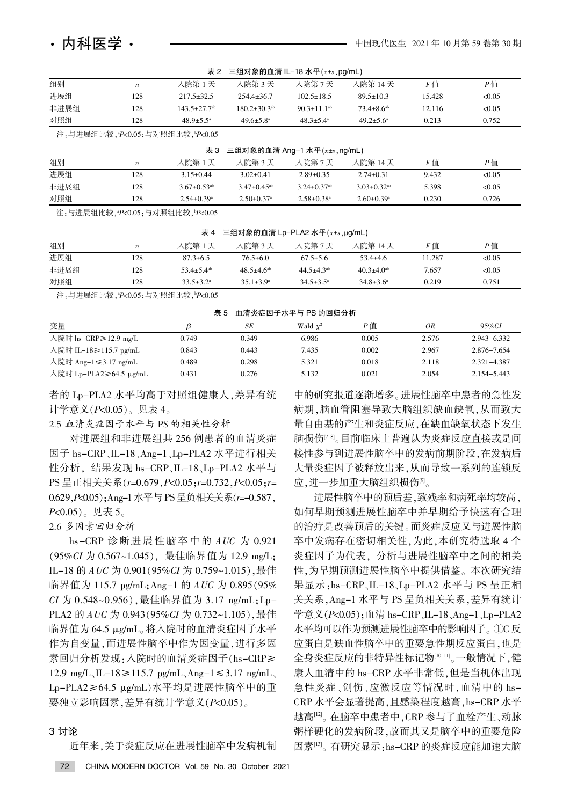| 表 2 三组对象的血清 IL-18 水平 ( $\bar{x}$ ± $s$ , pg/mL) |  |
|-------------------------------------------------|--|
|                                                 |  |

| .    |     |                              |                              |                      |                            |        |        |
|------|-----|------------------------------|------------------------------|----------------------|----------------------------|--------|--------|
| 对照组  | 128 | $48.9 \pm 5.5^{\circ}$       | $49.6 \pm 5.8^{\circ}$       | $48.3 + 5.4^{\circ}$ | $49.2 \pm 5.6^{\circ}$     | 0.213  | 0.752  |
| 非进展组 | 128 | $143.5 + 27.7$ <sup>ab</sup> | $180.2 + 30.3$ <sup>ab</sup> | $90.3 \pm 11.1^{ab}$ | $73.4 + 8.6$ <sup>ab</sup> | 12.116 | <0.05  |
| 进展组  | 128 | $217.5 \pm 32.5$             | $254.4 \pm 36.7$             | $102.5 \pm 18.5$     | $89.5 \pm 10.3$            | 15.428 | < 0.05 |
| 组别   | n   | 入院第 1 天                      | 人院第 3 天                      | 人院第 7 天              | 入院第 14 天                   | F值     | P值     |
|      |     |                              |                              |                      |                            |        |        |

注<sub>:</sub>与进展组比较<sub>,"</sub>P<0.05;与对照组比较, <sub>"</sub>P<0.05

| 三组对象的血清 Ang–1 水平( $\bar{x}$ ± $s$ ,ng/mL)<br>表 3 |                  |                               |                              |                               |                               |       |        |  |
|--------------------------------------------------|------------------|-------------------------------|------------------------------|-------------------------------|-------------------------------|-------|--------|--|
| 组别                                               | $\boldsymbol{n}$ | 入院第 1 天                       | 人院第 3 天                      | 人院第7天                         | 人院第 14 天                      | F值    | P值     |  |
| 进展组                                              | 128              | $3.15 \pm 0.44$               | $3.02 \pm 0.41$              | $2.89 \pm 0.35$               | $2.74 \pm 0.31$               | 9.432 | < 0.05 |  |
| 非进展组                                             | 128              | $3.67 \pm 0.53$ <sup>ab</sup> | $3.47\pm0.45^{ab}$           | $3.24 \pm 0.37$ <sup>ab</sup> | $3.03 \pm 0.32$ <sup>ab</sup> | 5.398 | < 0.05 |  |
| 对照组                                              | 128              | $2.54 \pm 0.39$ <sup>a</sup>  | $2.50 \pm 0.37$ <sup>a</sup> | $2.58 \pm 0.38$ <sup>a</sup>  | $2.60 \pm 0.39$ <sup>a</sup>  | 0.230 | 0.726  |  |
|                                                  |                  |                               |                              |                               |                               |       |        |  |

注<sub>:</sub>与进展组比较<sub>,"</sub>P<0.05;与对照组比较<sub>,</sub>"P<0.05

表 4 三组对象的血清 Lp-PLA2 水平 $(x \pm s, \mu g/mL)$ 

注<sub>:</sub>与进展组比较<sub>,"</sub>P<0.05;与对照组比较, <sup>"</sup>P<0.05

表 5 血清炎症因子水平与 PS 的回归分析

| 变量                     |       | SЕ    | Wald $\chi^2$ | P値    | 0R    | 95%CI           |  |
|------------------------|-------|-------|---------------|-------|-------|-----------------|--|
| 入院时 hs-CRP≥12.9 mg/L   | 0.749 | 0.349 | 6.986         | 0.005 | 2.576 | 2.943-6.332     |  |
| 人院时 IL–18≥115.7 pg/mL  | 0.843 | 0.443 | 7.435         | 0.002 | 2.967 | 2.876-7.654     |  |
| 人院时 Ang−1≤3.17 ng/mL   | 0.489 | 0.298 | 5.321         | 0.018 | 2.118 | 2.321-4.387     |  |
| 人院时 Lp-PLA2≥64.5 µg/mL | 0.431 | 0.276 | 5.132         | 0.021 | 2.054 | $2.154 - 5.443$ |  |

者的 Lp-PLA2 水平均高于对照组健康人,差异有统 计学意义 $(P< 0.05)$ 。见表 4。

2.5 血清炎症因子水平与 PS 的相关性分析

对进展组和非进展组共 256 例患者的血清炎症 因子 hs-CRP、IL-18、Ang-1、Lp-PLA2 水平进行相关 性分析, 结果发现 hs-CRP、IL-18、Lp-PLA2 水平与 PS 呈正相关关系(r=0.679, P<0.05; r=0.732, P<0.05; r= 0.629, P<0.05); Ang-1 水平与 PS 呈负相关关系(r=-0.587,  $P<0.05$ )。见表 5。

2.6 多因素回归分析

hs -CRP 诊断 进 展 性 脑 卒 中 的 AUC 为 0.921 (95%CI 为 0.567~1.045), 最佳临界值为 12.9 mg/L; IL-18 的  $AUC$  为 0.901 (95% $CI$  为 0.759~1.015), 最佳 临界值为 115.7 pg/mL; Ang-1 的  $AUC$  为 0.895 (95%) CI 为 0.548~0.956), 最佳临界值为 3.17 ng/mL; Lp-PLA2 的  $AUC \nrightarrow 0.943(95\% CI \nrightarrow 0.732~1.105)$ , 最佳 临界值为 64.5 μg/mL。将入院时的血清炎症因子水平 作为自变量,而进展性脑卒中作为因变量,进行多因 素回归分析发现: 入院时的血清炎症因子(hs-CRP≥ 12.9 mg/L、IL-18 ≥ 115.7 pg/mL、Ang-1 ≤ 3.17 ng/mL Lp-PLA2≥64.5  $\mu$ g/mL)水平均是进展性脑卒中的重 要独立影响因素,差异有统计学意义(P<0.05)。

# 3 讨论

近年来, 关于炎症反应在进展性脑卒中发病机制

中的研究报道逐渐增多。进展性脑卒中患者的急性发 病期,脑血管阻塞导致大脑组织缺血缺氧,从而致大 量自由基的产生和炎症反应,在缺血缺氧状态下发生 脑损伤[7-8]。目前临床上普遍认为炎症反应直接或是间 接性参与到进展性脑卒中的发病前期阶段,在发病后 大量炎症因子被释放出来,从而导致一系列的连锁反 应,进一步加重大脑组织损伤[9]。

进展性脑卒中的预后差,致残率和病死率均较高, 如何早期预测进展性脑卒中并早期给予快速有合理 的治疗是改善预后的关键。而炎症反应又与进展性脑 卒中发病存在密切相关性,为此,本研究特选取 4 个 炎症因子为代表、分析与进展性脑卒中之间的相关 性,为早期预测进展性脑卒中提供借鉴。本次研究结 果显示:hs-CRP、IL-18、Lp-PLA2 水平与 PS 呈正相 关关系, Ang-1 水平与 PS 呈负相关关系, 差异有统计 学意义 $(P<0.05)$ ; 血清 hs-CRP、IL-18、Ang-1、Lp-PLA2 水平均可以作为预测进展性脑卒中的影响因子。 ①C 反 应蛋白是缺血性脑卒中的重要急性期反应蛋白,也是 全身炎症反应的非特异性标记物[10-11]。一般情况下,健 康人血清中的 hs-CRP 水平非常低,但是当机体出现 急性炎症、创伤、应激反应等情况时, 血清中的 hs-CRP 水平会显著提高,且感染程度越高, hs-CRP 水平 越高[12]。在脑卒中患者中,CRP 参与了血栓产生、动脉 粥样硬化的发病阶段,故而其又是脑卒中的重要危险 因素[13]。有研究显示:hs-CRP 的炎症反应能加速大脑